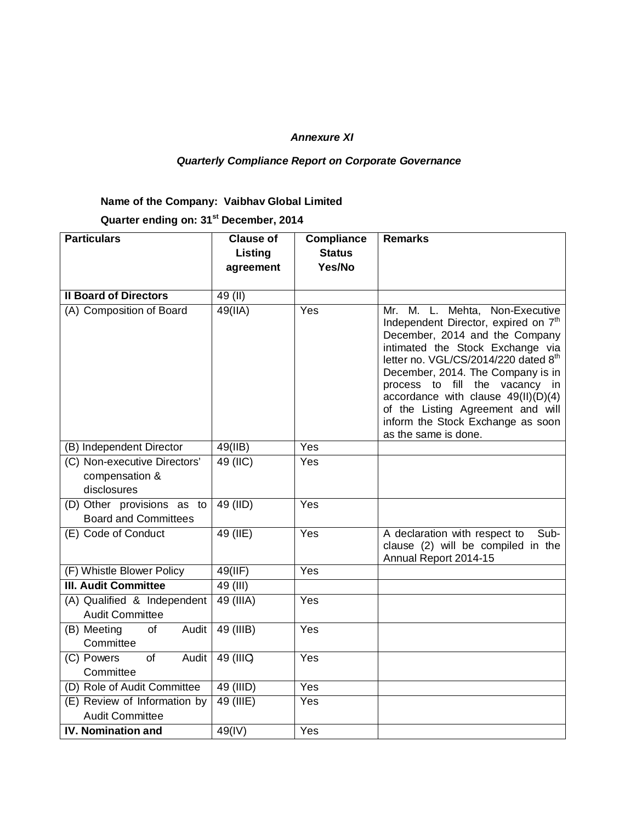## *Annexure XI*

## *Quarterly Compliance Report on Corporate Governance*

## **Name of the Company: Vaibhav Global Limited**

**Quarter ending on: 31st December, 2014**

| <b>Particulars</b>                                     | <b>Clause of</b> | <b>Compliance</b> | <b>Remarks</b>                                                                                                                                                                                                                                                                                                                                                                                                     |
|--------------------------------------------------------|------------------|-------------------|--------------------------------------------------------------------------------------------------------------------------------------------------------------------------------------------------------------------------------------------------------------------------------------------------------------------------------------------------------------------------------------------------------------------|
|                                                        | Listing          | <b>Status</b>     |                                                                                                                                                                                                                                                                                                                                                                                                                    |
|                                                        | agreement        | Yes/No            |                                                                                                                                                                                                                                                                                                                                                                                                                    |
|                                                        |                  |                   |                                                                                                                                                                                                                                                                                                                                                                                                                    |
| <b>Il Board of Directors</b>                           | 49 (II)          |                   |                                                                                                                                                                                                                                                                                                                                                                                                                    |
| (A) Composition of Board                               | $49$ (IIA)       | Yes               | Mr. M. L. Mehta, Non-Executive<br>Independent Director, expired on 7 <sup>th</sup><br>December, 2014 and the Company<br>intimated the Stock Exchange via<br>letter no. VGL/CS/2014/220 dated 8th<br>December, 2014. The Company is in<br>process to fill the vacancy in<br>accordance with clause $49(II)(D)(4)$<br>of the Listing Agreement and will<br>inform the Stock Exchange as soon<br>as the same is done. |
| (B) Independent Director                               | 49(IIB)          | Yes               |                                                                                                                                                                                                                                                                                                                                                                                                                    |
| (C) Non-executive Directors'                           | 49 (IIC)         | Yes               |                                                                                                                                                                                                                                                                                                                                                                                                                    |
| compensation &                                         |                  |                   |                                                                                                                                                                                                                                                                                                                                                                                                                    |
| disclosures                                            |                  |                   |                                                                                                                                                                                                                                                                                                                                                                                                                    |
| (D) Other provisions as to                             | 49 (IID)         | Yes               |                                                                                                                                                                                                                                                                                                                                                                                                                    |
| <b>Board and Committees</b>                            |                  |                   |                                                                                                                                                                                                                                                                                                                                                                                                                    |
| (E) Code of Conduct                                    | 49 (IIE)         | Yes               | A declaration with respect to<br>Sub-<br>clause (2) will be compiled in the<br>Annual Report 2014-15                                                                                                                                                                                                                                                                                                               |
| (F) Whistle Blower Policy                              | 49(III)          | $\overline{Y}$ es |                                                                                                                                                                                                                                                                                                                                                                                                                    |
| <b>III. Audit Committee</b>                            | 49 (III)         |                   |                                                                                                                                                                                                                                                                                                                                                                                                                    |
| (A) Qualified & Independent                            | $49$ (IIIA)      | Yes               |                                                                                                                                                                                                                                                                                                                                                                                                                    |
| <b>Audit Committee</b>                                 |                  |                   |                                                                                                                                                                                                                                                                                                                                                                                                                    |
| (B) Meeting<br>of<br>Audit                             | 49 (IIIB)        | Yes               |                                                                                                                                                                                                                                                                                                                                                                                                                    |
| Committee                                              |                  |                   |                                                                                                                                                                                                                                                                                                                                                                                                                    |
| (C) Powers<br>of<br>Audit<br>Committee                 | 49 (IIIC)        | Yes               |                                                                                                                                                                                                                                                                                                                                                                                                                    |
| (D) Role of Audit Committee                            | 49 (IIID)        | Yes               |                                                                                                                                                                                                                                                                                                                                                                                                                    |
| (E) Review of Information by<br><b>Audit Committee</b> | 49 (IIIE)        | Yes               |                                                                                                                                                                                                                                                                                                                                                                                                                    |
| <b>IV. Nomination and</b>                              | 49(IV)           | Yes               |                                                                                                                                                                                                                                                                                                                                                                                                                    |